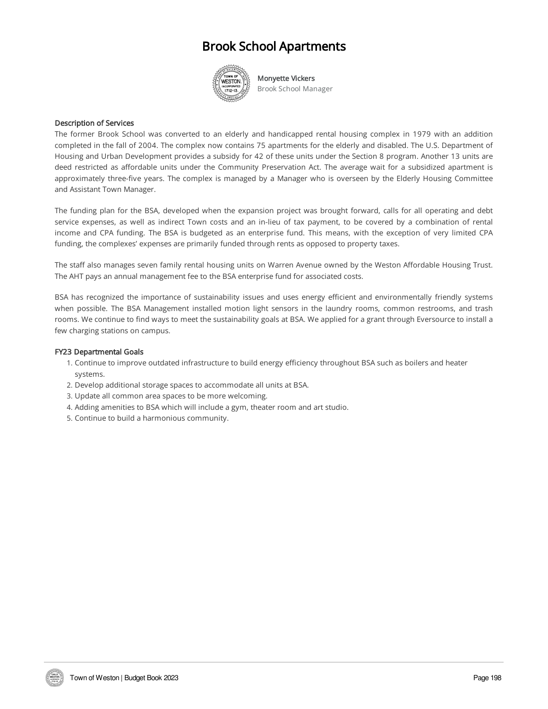#### Brook School Apartments



Monyette Vickers Brook School Manager

#### Description of Services

The former Brook School was converted to an elderly and handicapped rental housing complex in 1979 with an addition completed in the fall of 2004. The complex now contains 75 apartments for the elderly and disabled. The U.S. Department of Housing and Urban Development provides a subsidy for 42 of these units under the Section 8 program. Another 13 units are deed restricted as affordable units under the Community Preservation Act. The average wait for a subsidized apartment is approximately three-five years. The complex is managed by a Manager who is overseen by the Elderly Housing Committee and Assistant Town Manager.

The funding plan for the BSA, developed when the expansion project was brought forward, calls for all operating and debt service expenses, as well as indirect Town costs and an in-lieu of tax payment, to be covered by a combination of rental income and CPA funding. The BSA is budgeted as an enterprise fund. This means, with the exception of very limited CPA funding, the complexes' expenses are primarily funded through rents as opposed to property taxes.

The staff also manages seven family rental housing units on Warren Avenue owned by the Weston Affordable Housing Trust. The AHT pays an annual management fee to the BSA enterprise fund for associated costs.

BSA has recognized the importance of sustainability issues and uses energy efficient and environmentally friendly systems when possible. The BSA Management installed motion light sensors in the laundry rooms, common restrooms, and trash rooms. We continue to find ways to meet the sustainability goals at BSA. We applied for a grant through Eversource to install a few charging stations on campus.

#### FY23 Departmental Goals

- 1. Continue to improve outdated infrastructure to build energy efficiency throughout BSA such as boilers and heater systems.
- 2. Develop additional storage spaces to accommodate all units at BSA.
- 3. Update all common area spaces to be more welcoming.
- 4. Adding amenities to BSA which will include a gym, theater room and art studio.
- 5. Continue to build a harmonious community.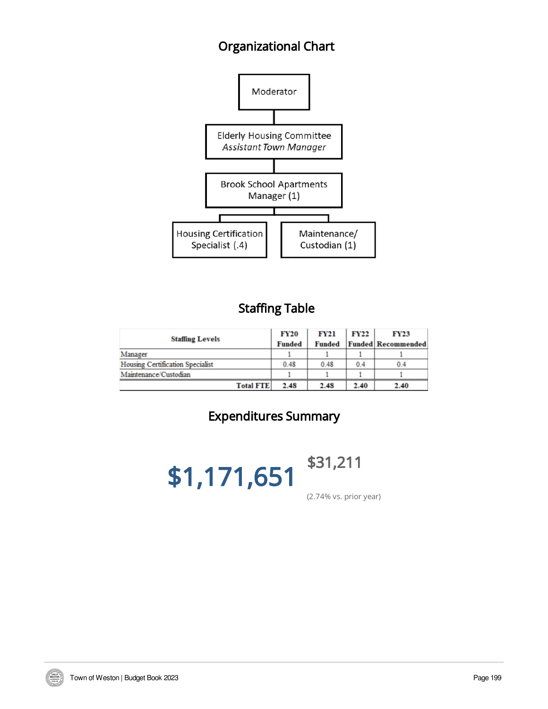## Organizational Chart



### Staffing Table

|                                         | <b>FY20</b>   | <b>FY21</b>   | <b>FY22</b> | <b>FY23</b>               |
|-----------------------------------------|---------------|---------------|-------------|---------------------------|
| <b>Staffing Levels</b>                  | <b>Funded</b> | <b>Funded</b> |             | <b>Funded Recommended</b> |
| Manager                                 |               |               |             |                           |
| <b>Housing Certification Specialist</b> | 0.48          | 0.48          | 0.4         | 0.4                       |
| Maintenance/Custodian                   |               |               |             |                           |
| <b>Total FTE</b>                        | 2.48          | 2.48          | 2.40        | 2.40                      |

# Expenditures Summary

\$1,171,651



(2.74% vs. prior year)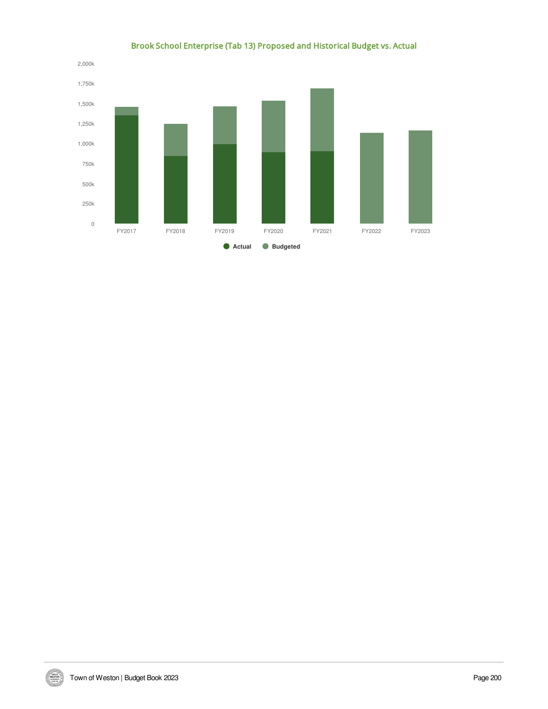

#### Brook School Enterprise (Tab 13) Proposed and Historical Budget vs. Actual

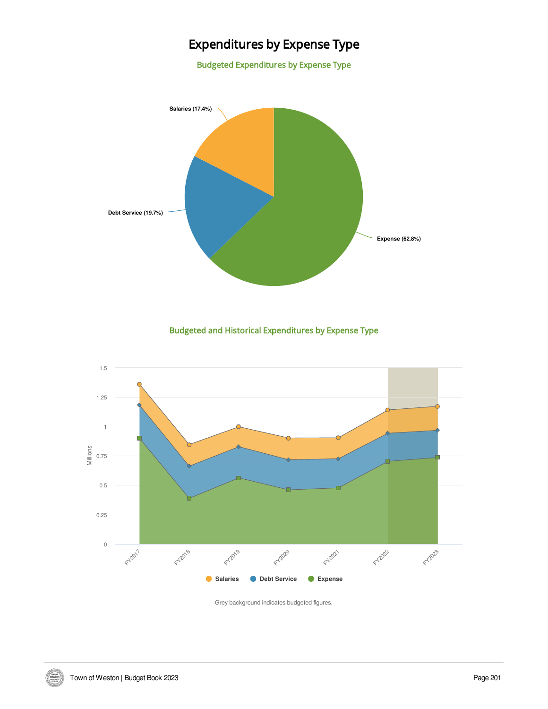### Expenditures by Expense Type

Budgeted Expenditures by Expense Type



Budgeted and Historical Expenditures by Expense Type



Grey background indicates budgeted figures.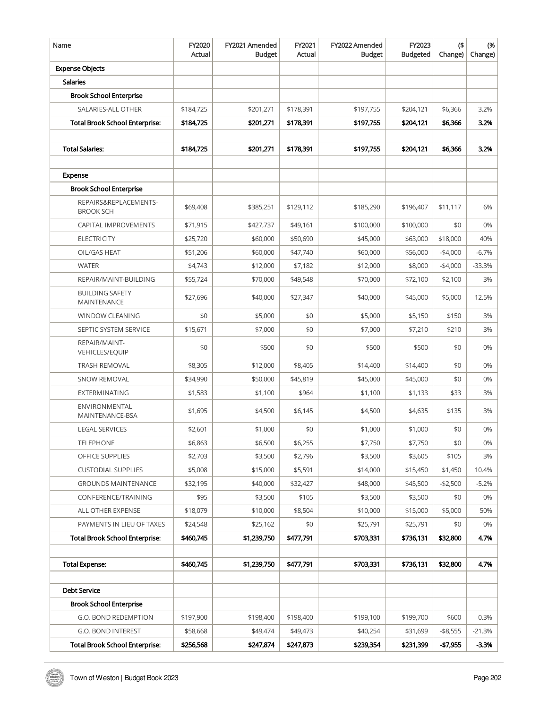| Name                                      | FY2020<br>Actual | FY2021 Amended<br><b>Budget</b> | FY2021<br>Actual | FY2022 Amended<br><b>Budget</b> | FY2023<br><b>Budgeted</b> | $($ \$<br>Change) | (%<br>Change) |
|-------------------------------------------|------------------|---------------------------------|------------------|---------------------------------|---------------------------|-------------------|---------------|
| <b>Expense Objects</b>                    |                  |                                 |                  |                                 |                           |                   |               |
| <b>Salaries</b>                           |                  |                                 |                  |                                 |                           |                   |               |
| <b>Brook School Enterprise</b>            |                  |                                 |                  |                                 |                           |                   |               |
| SALARIES-ALL OTHER                        | \$184,725        | \$201,271                       | \$178,391        | \$197,755                       | \$204,121                 | \$6,366           | 3.2%          |
| <b>Total Brook School Enterprise:</b>     | \$184,725        | \$201,271                       | \$178,391        | \$197,755                       | \$204,121                 | \$6,366           | 3.2%          |
|                                           |                  |                                 |                  |                                 |                           |                   |               |
| <b>Total Salaries:</b>                    | \$184,725        | \$201,271                       | \$178,391        | \$197,755                       | \$204,121                 | \$6,366           | 3.2%          |
|                                           |                  |                                 |                  |                                 |                           |                   |               |
| Expense                                   |                  |                                 |                  |                                 |                           |                   |               |
| <b>Brook School Enterprise</b>            |                  |                                 |                  |                                 |                           |                   |               |
| REPAIRS&REPLACEMENTS-<br><b>BROOK SCH</b> | \$69,408         | \$385,251                       | \$129,112        | \$185,290                       | \$196,407                 | \$11,117          | 6%            |
| CAPITAL IMPROVEMENTS                      | \$71,915         | \$427,737                       | \$49,161         | \$100,000                       | \$100,000                 | \$0               | 0%            |
| <b>ELECTRICITY</b>                        | \$25,720         | \$60,000                        | \$50,690         | \$45,000                        | \$63,000                  | \$18,000          | 40%           |
| OIL/GAS HEAT                              | \$51,206         | \$60,000                        | \$47,740         | \$60,000                        | \$56,000                  | $-$4,000$         | $-6.7%$       |
| <b>WATER</b>                              | \$4,743          | \$12,000                        | \$7,182          | \$12,000                        | \$8,000                   | $-$4,000$         | $-33.3%$      |
| REPAIR/MAINT-BUILDING                     | \$55,724         | \$70,000                        | \$49,548         | \$70,000                        | \$72,100                  | \$2,100           | 3%            |
| <b>BUILDING SAFETY</b><br>MAINTENANCE     | \$27,696         | \$40,000                        | \$27,347         | \$40,000                        | \$45,000                  | \$5,000           | 12.5%         |
| <b>WINDOW CLEANING</b>                    | \$0              | \$5,000                         | \$0              | \$5,000                         | \$5,150                   | \$150             | 3%            |
| SEPTIC SYSTEM SERVICE                     | \$15,671         | \$7,000                         | \$0              | \$7,000                         | \$7,210                   | \$210             | 3%            |
| REPAIR/MAINT-<br>VEHICLES/EQUIP           | \$0              | \$500                           | \$0              | \$500                           | \$500                     | \$0               | 0%            |
| <b>TRASH REMOVAL</b>                      | \$8,305          | \$12,000                        | \$8,405          | \$14,400                        | \$14,400                  | \$0               | 0%            |
| <b>SNOW REMOVAL</b>                       | \$34,990         | \$50,000                        | \$45,819         | \$45,000                        | \$45,000                  | \$0               | 0%            |
| <b>EXTERMINATING</b>                      | \$1,583          | \$1,100                         | \$964            | \$1,100                         | \$1,133                   | \$33              | 3%            |
| ENVIRONMENTAL<br>MAINTENANCE-BSA          | \$1,695          | \$4,500                         | \$6,145          | \$4,500                         | \$4,635                   | \$135             | 3%            |
| <b>LEGAL SERVICES</b>                     | \$2,601          | \$1,000                         | \$0              | \$1,000                         | \$1,000                   | \$0               | 0%            |
| <b>TELEPHONE</b>                          | \$6,863          | \$6,500                         | \$6,255          | \$7,750                         | \$7,750                   | \$0               | 0%            |
| OFFICE SUPPLIES                           | \$2,703          | \$3,500                         | \$2,796          | \$3,500                         | \$3,605                   | \$105             | 3%            |
| <b>CUSTODIAL SUPPLIES</b>                 | \$5,008          | \$15,000                        | \$5,591          | \$14,000                        | \$15,450                  | \$1,450           | 10.4%         |
| <b>GROUNDS MAINTENANCE</b>                | \$32,195         | \$40,000                        | \$32,427         | \$48,000                        | \$45,500                  | $-$2,500$         | $-5.2%$       |
| CONFERENCE/TRAINING                       | \$95             | \$3,500                         | \$105            | \$3,500                         | \$3,500                   | \$0               | 0%            |
| ALL OTHER EXPENSE                         | \$18,079         | \$10,000                        | \$8,504          | \$10,000                        | \$15,000                  | \$5,000           | 50%           |
| PAYMENTS IN LIEU OF TAXES                 | \$24,548         | \$25,162                        | \$0              | \$25,791                        | \$25,791                  | \$0               | 0%            |
| Total Brook School Enterprise:            | \$460,745        | \$1,239,750                     | \$477,791        | \$703,331                       | \$736,131                 | \$32,800          | 4.7%          |
|                                           |                  |                                 |                  |                                 |                           |                   |               |
| <b>Total Expense:</b>                     | \$460,745        | \$1,239,750                     | \$477,791        | \$703,331                       | \$736,131                 | \$32,800          | 4.7%          |
|                                           |                  |                                 |                  |                                 |                           |                   |               |
| Debt Service                              |                  |                                 |                  |                                 |                           |                   |               |
| <b>Brook School Enterprise</b>            |                  |                                 |                  |                                 |                           |                   |               |
| G.O. BOND REDEMPTION                      | \$197,900        | \$198,400                       | \$198,400        | \$199,100                       | \$199,700                 | \$600             | 0.3%          |
| G.O. BOND INTEREST                        | \$58,668         | \$49,474                        | \$49,473         | \$40,254                        | \$31,699                  | $- $8,555$        | $-21.3%$      |
| <b>Total Brook School Enterprise:</b>     | \$256,568        | \$247,874                       | \$247,873        | \$239,354                       | \$231,399                 | -\$7,955          | $-3.3%$       |